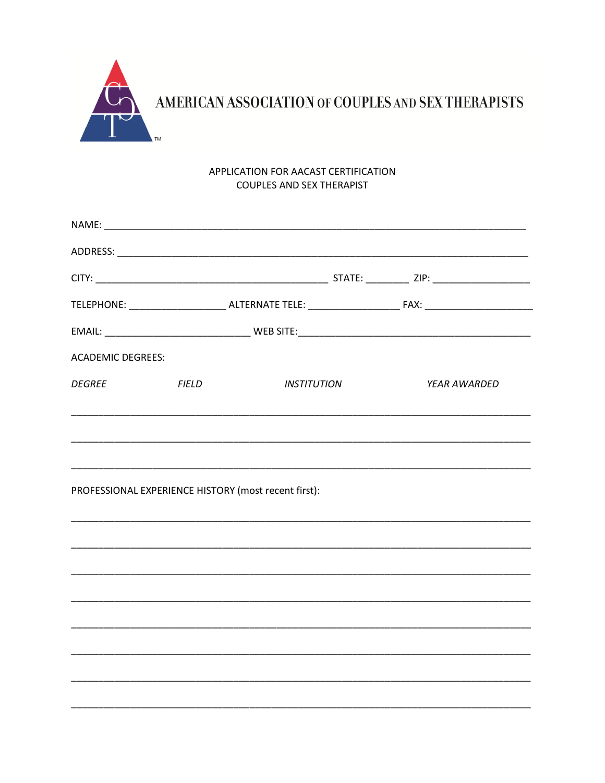

## APPLICATION FOR AACAST CERTIFICATION COUPLES AND SEX THERAPIST

| <b>ACADEMIC DEGREES:</b> |                                                      |             |                     |  |
|--------------------------|------------------------------------------------------|-------------|---------------------|--|
| <b>DEGREE</b>            | <b>FIELD</b>                                         | INSTITUTION | <b>YEAR AWARDED</b> |  |
|                          |                                                      |             |                     |  |
|                          |                                                      |             |                     |  |
|                          | PROFESSIONAL EXPERIENCE HISTORY (most recent first): |             |                     |  |
|                          |                                                      |             |                     |  |
|                          |                                                      |             |                     |  |
|                          |                                                      |             |                     |  |
|                          |                                                      |             |                     |  |
|                          |                                                      |             |                     |  |